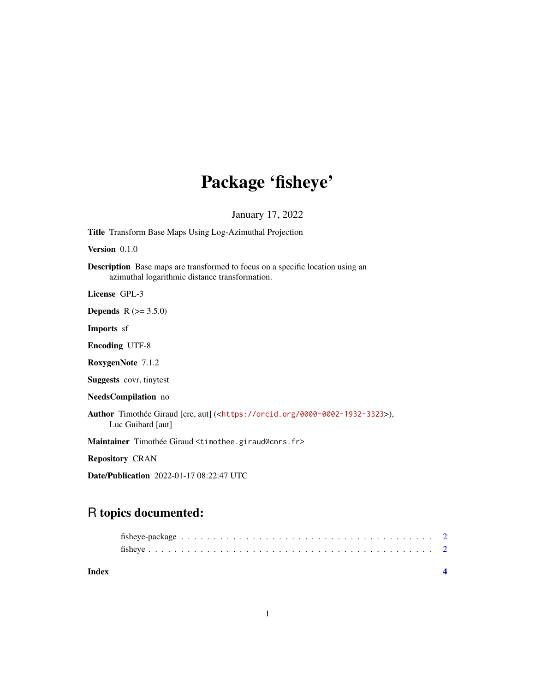## Package 'fisheye'

January 17, 2022

Version 0.1.0 Description Base maps are transformed to focus on a specific location using an azimuthal logarithmic distance transformation. License GPL-3 **Depends** R  $(>= 3.5.0)$ Imports sf Encoding UTF-8 RoxygenNote 7.1.2 Suggests covr, tinytest NeedsCompilation no Author Timothée Giraud [cre, aut] (<<https://orcid.org/0000-0002-1932-3323>>), Luc Guibard [aut]

Title Transform Base Maps Using Log-Azimuthal Projection

Maintainer Timothée Giraud <timothee.giraud@cnrs.fr>

Repository CRAN

Date/Publication 2022-01-17 08:22:47 UTC

### R topics documented: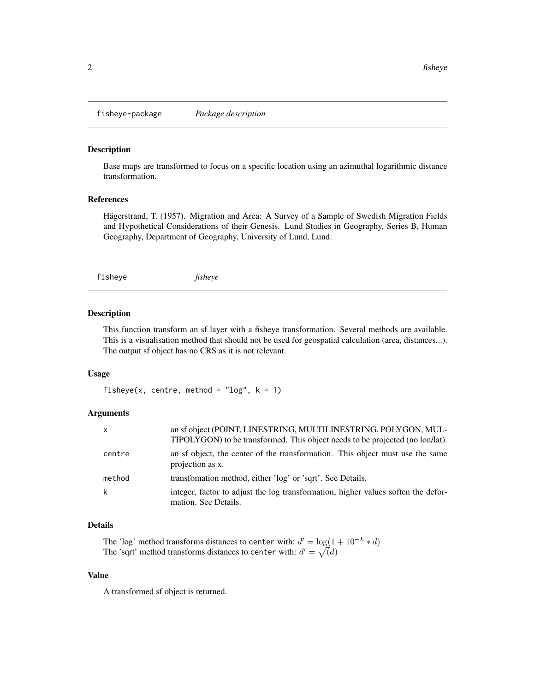<span id="page-1-0"></span>fisheye-package *Package description*

#### Description

Base maps are transformed to focus on a specific location using an azimuthal logarithmic distance transformation.

#### References

Hägerstrand, T. (1957). Migration and Area: A Survey of a Sample of Swedish Migration Fields and Hypothetical Considerations of their Genesis. Lund Studies in Geography, Series B, Human Geography, Department of Geography, University of Lund, Lund.

fisheye *fisheye*

#### Description

This function transform an sf layer with a fisheye transformation. Several methods are available. This is a visualisation method that should not be used for geospatial calculation (area, distances...). The output sf object has no CRS as it is not relevant.

#### Usage

fisheye(x, centre, method = " $log$ ", k = 1)

#### Arguments

| $\mathsf{x}$ | an sf object (POINT, LINESTRING, MULTILINESTRING, POLYGON, MUL-<br>TIPOLYGON) to be transformed. This object needs to be projected (no lon/lat). |
|--------------|--------------------------------------------------------------------------------------------------------------------------------------------------|
| centre       | an sf object, the center of the transformation. This object must use the same<br>projection as x.                                                |
| method       | transformation method, either 'log' or 'sqrt'. See Details.                                                                                      |
| k            | integer, factor to adjust the log transformation, higher values soften the defor-<br>mation. See Details.                                        |

#### Details

The 'log' method transforms distances to center with:  $d' = \log(1 + 10^{-k} * d)$ The 'sqrt' method transforms distances to center with:  $d' = \sqrt{d}$ 

#### Value

A transformed sf object is returned.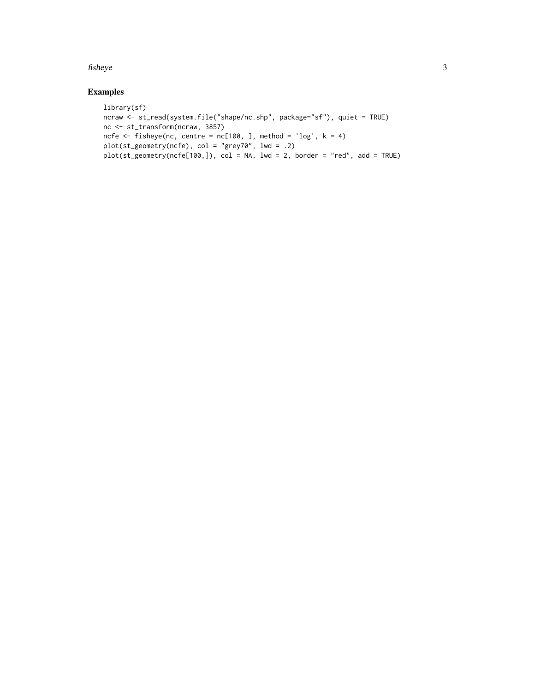#### fisheye 3

#### Examples

```
library(sf)
ncraw <- st_read(system.file("shape/nc.shp", package="sf"), quiet = TRUE)
nc <- st_transform(ncraw, 3857)
ncfe \leq fisheye(nc, centre = nc[100, ], method = 'log', k = 4)
plot(st_geometry(ncfe), col = "grey70", lwd = .2)
plot(st_geometry(ncfe[100,]), col = NA, lwd = 2, border = "red", add = TRUE)
```